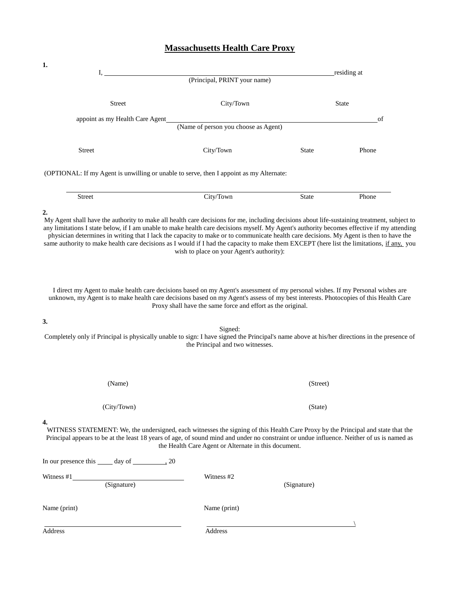## **Massachusetts Health Care Proxy**

| 1.                                                                                                                                                                                                                                                                                                                                                                                                                  |                                                             |              |              |  |
|---------------------------------------------------------------------------------------------------------------------------------------------------------------------------------------------------------------------------------------------------------------------------------------------------------------------------------------------------------------------------------------------------------------------|-------------------------------------------------------------|--------------|--------------|--|
| Ι,                                                                                                                                                                                                                                                                                                                                                                                                                  | (Principal, PRINT your name)                                |              | residing at  |  |
| <b>Street</b>                                                                                                                                                                                                                                                                                                                                                                                                       | City/Town                                                   |              | <b>State</b> |  |
| appoint as my Health Care Agent                                                                                                                                                                                                                                                                                                                                                                                     |                                                             |              | of           |  |
|                                                                                                                                                                                                                                                                                                                                                                                                                     | (Name of person you choose as Agent)                        |              |              |  |
| <b>Street</b>                                                                                                                                                                                                                                                                                                                                                                                                       | City/Town                                                   | <b>State</b> | Phone        |  |
| (OPTIONAL: If my Agent is unwilling or unable to serve, then I appoint as my Alternate:                                                                                                                                                                                                                                                                                                                             |                                                             |              |              |  |
| <b>Street</b>                                                                                                                                                                                                                                                                                                                                                                                                       | City/Town                                                   | State        | Phone        |  |
| same authority to make health care decisions as I would if I had the capacity to make them EXCEPT (here list the limitations, if any, you<br>I direct my Agent to make health care decisions based on my Agent's assessment of my personal wishes. If my Personal wishes are<br>unknown, my Agent is to make health care decisions based on my Agent's assess of my best interests. Photocopies of this Health Care | wish to place on your Agent's authority):                   |              |              |  |
| 3.                                                                                                                                                                                                                                                                                                                                                                                                                  | Proxy shall have the same force and effort as the original. |              |              |  |
| Completely only if Principal is physically unable to sign: I have signed the Principal's name above at his/her directions in the presence of                                                                                                                                                                                                                                                                        | Signed:<br>the Principal and two witnesses.                 |              |              |  |
| (Name)                                                                                                                                                                                                                                                                                                                                                                                                              |                                                             | (Street)     |              |  |
| (City/Town)                                                                                                                                                                                                                                                                                                                                                                                                         |                                                             | (State)      |              |  |
| 4.<br>WITNESS STATEMENT: We, the undersigned, each witnesses the signing of this Health Care Proxy by the Principal and state that the<br>Principal appears to be at the least 18 years of age, of sound mind and under no constraint or undue influence. Neither of us is named as                                                                                                                                 | the Health Care Agent or Alternate in this document.        |              |              |  |
| In our presence this ______ day of ___________ 20                                                                                                                                                                                                                                                                                                                                                                   |                                                             |              |              |  |
| Witness $#1$ (Signature)                                                                                                                                                                                                                                                                                                                                                                                            | Witness #2                                                  | (Signature)  |              |  |
| Name (print)                                                                                                                                                                                                                                                                                                                                                                                                        | Name (print)                                                |              |              |  |
| Address                                                                                                                                                                                                                                                                                                                                                                                                             | Address                                                     |              |              |  |